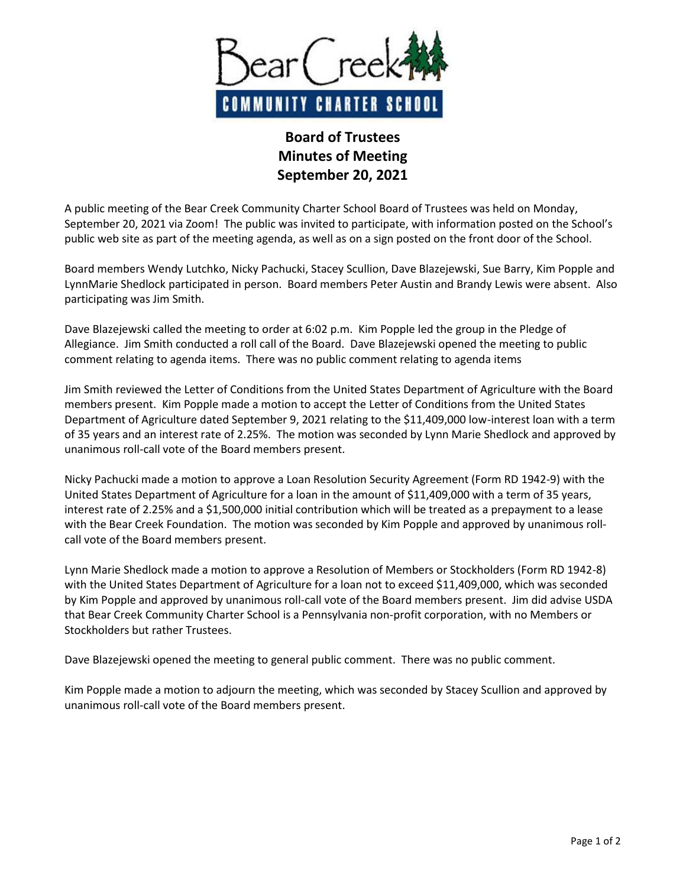

## **Board of Trustees Minutes of Meeting September 20, 2021**

A public meeting of the Bear Creek Community Charter School Board of Trustees was held on Monday, September 20, 2021 via Zoom! The public was invited to participate, with information posted on the School's public web site as part of the meeting agenda, as well as on a sign posted on the front door of the School.

Board members Wendy Lutchko, Nicky Pachucki, Stacey Scullion, Dave Blazejewski, Sue Barry, Kim Popple and LynnMarie Shedlock participated in person. Board members Peter Austin and Brandy Lewis were absent. Also participating was Jim Smith.

Dave Blazejewski called the meeting to order at 6:02 p.m. Kim Popple led the group in the Pledge of Allegiance. Jim Smith conducted a roll call of the Board. Dave Blazejewski opened the meeting to public comment relating to agenda items. There was no public comment relating to agenda items

Jim Smith reviewed the Letter of Conditions from the United States Department of Agriculture with the Board members present. Kim Popple made a motion to accept the Letter of Conditions from the United States Department of Agriculture dated September 9, 2021 relating to the \$11,409,000 low-interest loan with a term of 35 years and an interest rate of 2.25%. The motion was seconded by Lynn Marie Shedlock and approved by unanimous roll-call vote of the Board members present.

Nicky Pachucki made a motion to approve a Loan Resolution Security Agreement (Form RD 1942-9) with the United States Department of Agriculture for a loan in the amount of \$11,409,000 with a term of 35 years, interest rate of 2.25% and a \$1,500,000 initial contribution which will be treated as a prepayment to a lease with the Bear Creek Foundation. The motion was seconded by Kim Popple and approved by unanimous rollcall vote of the Board members present.

Lynn Marie Shedlock made a motion to approve a Resolution of Members or Stockholders (Form RD 1942-8) with the United States Department of Agriculture for a loan not to exceed \$11,409,000, which was seconded by Kim Popple and approved by unanimous roll-call vote of the Board members present. Jim did advise USDA that Bear Creek Community Charter School is a Pennsylvania non-profit corporation, with no Members or Stockholders but rather Trustees.

Dave Blazejewski opened the meeting to general public comment. There was no public comment.

Kim Popple made a motion to adjourn the meeting, which was seconded by Stacey Scullion and approved by unanimous roll-call vote of the Board members present.